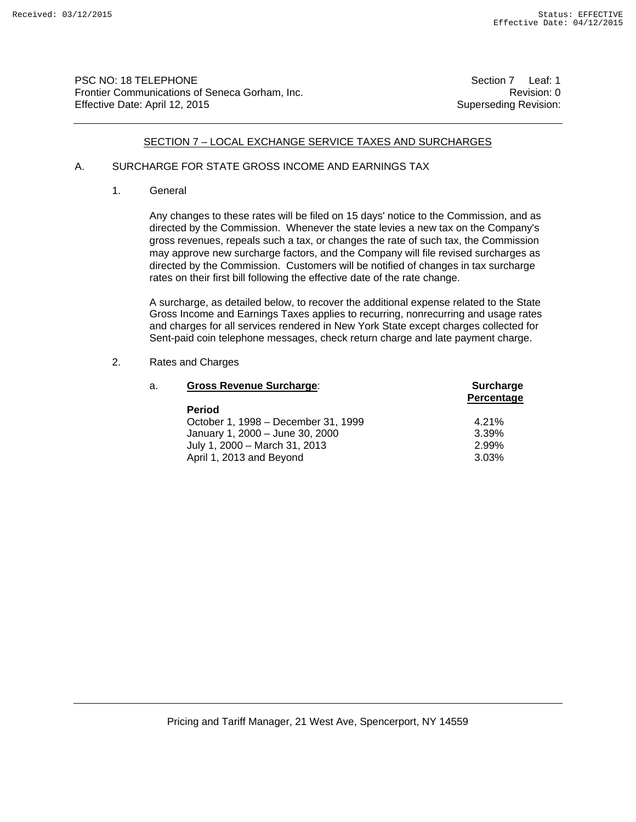PSC NO: 18 TELEPHONE Section 7 Leaf: 1 Frontier Communications of Seneca Gorham, Inc. **Revision: 0** Revision: 0 Effective Date: April 12, 2015 Superseding Revision:

#### SECTION 7 – LOCAL EXCHANGE SERVICE TAXES AND SURCHARGES

## A. SURCHARGE FOR STATE GROSS INCOME AND EARNINGS TAX

1. General

 Any changes to these rates will be filed on 15 days' notice to the Commission, and as directed by the Commission. Whenever the state levies a new tax on the Company's gross revenues, repeals such a tax, or changes the rate of such tax, the Commission may approve new surcharge factors, and the Company will file revised surcharges as directed by the Commission. Customers will be notified of changes in tax surcharge rates on their first bill following the effective date of the rate change.

 A surcharge, as detailed below, to recover the additional expense related to the State Gross Income and Earnings Taxes applies to recurring, nonrecurring and usage rates and charges for all services rendered in New York State except charges collected for Sent-paid coin telephone messages, check return charge and late payment charge.

#### 2. Rates and Charges

| a. | <b>Gross Revenue Surcharge:</b>     | <b>Surcharge</b><br>Percentage |
|----|-------------------------------------|--------------------------------|
|    | <b>Period</b>                       |                                |
|    | October 1, 1998 – December 31, 1999 | 4.21%                          |
|    | January 1, 2000 - June 30, 2000     | 3.39%                          |
|    | July 1, 2000 - March 31, 2013       | 2.99%                          |
|    | April 1, 2013 and Beyond            | 3.03%                          |
|    |                                     |                                |